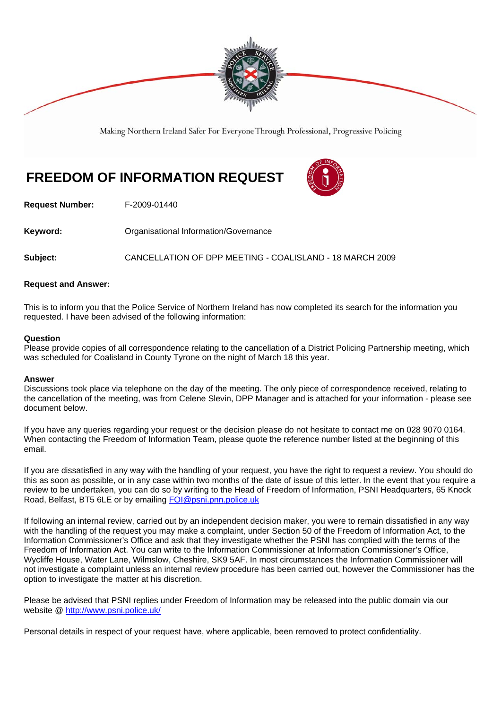

Making Northern Ireland Safer For Everyone Through Professional, Progressive Policing

# **FREEDOM OF INFORMATION REQUEST**



**Request Number:** F-2009-01440

**Keyword: Communistry Communistional Information/Governance** 

**Subject:** CANCELLATION OF DPP MEETING - COALISLAND - 18 MARCH 2009

### **Request and Answer:**

This is to inform you that the Police Service of Northern Ireland has now completed its search for the information you requested. I have been advised of the following information:

#### **Question**

Please provide copies of all correspondence relating to the cancellation of a District Policing Partnership meeting, which was scheduled for Coalisland in County Tyrone on the night of March 18 this year.

#### **Answer**

Discussions took place via telephone on the day of the meeting. The only piece of correspondence received, relating to the cancellation of the meeting, was from Celene Slevin, DPP Manager and is attached for your information - please see document below.

If you have any queries regarding your request or the decision please do not hesitate to contact me on 028 9070 0164. When contacting the Freedom of Information Team, please quote the reference number listed at the beginning of this email.

If you are dissatisfied in any way with the handling of your request, you have the right to request a review. You should do this as soon as possible, or in any case within two months of the date of issue of this letter. In the event that you require a review to be undertaken, you can do so by writing to the Head of Freedom of Information, PSNI Headquarters, 65 Knock Road, Belfast, BT5 6LE or by emailing FOI@psni.pnn.police.uk

If following an internal review, carried out by an independent decision maker, you were to remain dissatisfied in any way with the handling of the request you may make a complaint, under Section 50 of the Freedom of Information Act, to the Information Commissioner's Office and ask that they investigate whether the PSNI has complied with the terms of the Freedom of Information Act. You can write to the Information Commissioner at Information Commissioner's Office, Wycliffe House, Water Lane, Wilmslow, Cheshire, SK9 5AF. In most circumstances the Information Commissioner will not investigate a complaint unless an internal review procedure has been carried out, however the Commissioner has the option to investigate the matter at his discretion.

Please be advised that PSNI replies under Freedom of Information may be released into the public domain via our website @ http://www.psni.police.uk/

Personal details in respect of your request have, where applicable, been removed to protect confidentiality.